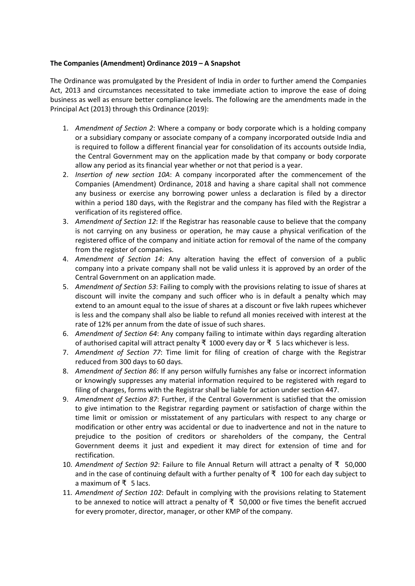## **The Companies (Amendment) Ordinance 2019 – A Snapshot**

The Ordinance was promulgated by the President of India in order to further amend the Companies Act, 2013 and circumstances necessitated to take immediate action to improve the ease of doing business as well as ensure better compliance levels. The following are the amendments made in the Principal Act (2013) through this Ordinance (2019):

- 1. *Amendment of Section 2*: Where a company or body corporate which is a holding company or a subsidiary company or associate company of a company incorporated outside India and is required to follow a different financial year for consolidation of its accounts outside India, the Central Government may on the application made by that company or body corporate allow any period as its financial year whether or not that period is a year.
- 2. *Insertion of new section 10A*: A company incorporated after the commencement of the Companies (Amendment) Ordinance, 2018 and having a share capital shall not commence any business or exercise any borrowing power unless a declaration is filed by a director within a period 180 days, with the Registrar and the company has filed with the Registrar a verification of its registered office.
- 3. *Amendment of Section 12*: If the Registrar has reasonable cause to believe that the company is not carrying on any business or operation, he may cause a physical verification of the registered office of the company and initiate action for removal of the name ofthe company from the register of companies.
- 4. *Amendment of Section 14*: Any alteration having the effect of conversion of a public company into a private company shall not be valid unless it is approved by an order of the Central Government on an application made.
- 5. *Amendment of Section 53*: Failing to comply with the provisions relating to issue of shares at discount will invite the company and such officer who is in default a penalty which may extend to an amount equal to the issue of shares at a discount or five lakh rupees whichever is less and the company shall also be liable to refund all monies received with interest at the rate of 12% per annum from the date of issue of such shares.
- 6. *Amendment of Section 64*: Any company failing to intimate within days regarding alteration of authorised capital will attract penalty  $\bar{x}$  1000 every day or  $\bar{x}$  5 lacs whichever is less.
- 7. *Amendment of Section 77*: Time limit for filing of creation of charge with the Registrar reduced from 300 days to 60 days.
- 8. *Amendment of Section 86*: If any person wilfully furnishes any false or incorrect information or knowingly suppresses any material information required to be registered with regard to filing of charges, forms with the Registrar shall be liable for action under section 447.
- 9. *Amendment of Section 87*: Further, if the Central Government is satisfied that the omission to give intimation to the Registrar regarding payment or satisfaction of charge within the time limit or omission or misstatement of any particulars with respect to any charge or modification or other entry was accidental or due to inadvertence and not in the nature to prejudice to the position of creditors or shareholders of the company, the Central Government deems it just and expedient it may direct for extension of time and for rectification.
- 10. *Amendment of Section 92*: Failure to file Annual Return will attract a penalty of ₹ 50,000 and in the case of continuing default with a further penalty of  $\bar{x}$  100 for each day subject to a maximum of ₹ 5 lacs.
- 11. *Amendment of Section 102*: Default in complying with the provisions relating to Statement to be annexed to notice will attract a penalty of  $\bar{x}$  50,000 or five times the benefit accrued for every promoter, director, manager, or other KMP of the company.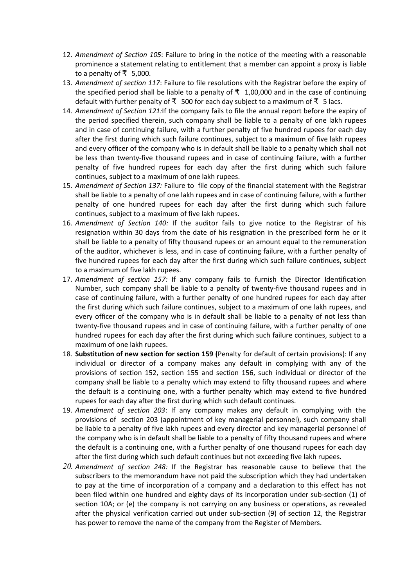- 12. *Amendment of Section 105*: Failure to bring in the notice of the meeting with a reasonable prominence a statement relating to entitlement that a member can appoint a proxy is liable to a penalty of  $\bar{x}$  5,000.
- 13. *Amendment of section 117*: Failure to file resolutions with the Registrar before the expiry of the specified period shall be liable to a penalty of  $\bar{x}$  1,00,000 and in the case of continuing default with further penalty of ₹ 500 for each day subject to a maximum of ₹ 5 lacs.
- 14. *Amendment of Section 121:*If the company fails to file the annual report before the expiry of the period specified therein, such company shall be liable to a penalty of one lakh rupees and in case of continuing failure, with a further penalty of five hundred rupees for each day after the first during which such failure continues, subject to a maximum of five lakh rupees and every officer of the company who is in default shall be liable to a penalty which shall not be less than twenty-five thousand rupees and in case of continuing failure, with a further penalty of five hundred rupees for each day after the first during which such failure continues, subject to a maximum of one lakh rupees.
- 15. *Amendment of Section 137:* Failure to file copy of the financial statement with the Registrar shall be liable to a penalty of one lakh rupees and in case of continuing failure, with a further penalty of one hundred rupees for each day after the first during which such failure continues, subject to a maximum of five lakh rupees.
- 16. *Amendment of Section 140:* If the auditor fails to give notice to the Registrar of his resignation within 30 days from the date of his resignation in the prescribed form he or it shall be liable to a penalty of fifty thousand rupees or an amount equal to the remuneration of the auditor, whichever is less, and in case of continuing failure, with a further penalty of five hundred rupees for each day after the first during which such failure continues, subject to a maximum of five lakh rupees.
- 17. *Amendment of section 157:* If any company fails to furnish the Director Identification Number, such company shall be liable to a penalty of twenty-five thousand rupees and in case of continuing failure, with a further penalty of one hundred rupees for each day after the first during which such failure continues, subject to a maximum of one lakh rupees, and every officer of the company who is in default shall be liable to a penalty of not less than twenty-five thousand rupees and in case of continuing failure, with a further penalty of one hundred rupees for each day after the first during which such failure continues, subject to a maximum of one lakh rupees.
- 18. **Substitution of new section for section 159 (**Penalty for default of certain provisions): If any individual or director of a company makes any default in complying with any of the provisions of section 152, section 155 and section 156, such individual or director of the company shall be liable to a penalty which may extend to fifty thousand rupees and where the default is a continuing one, with a further penalty which may extend to five hundred rupees for each day after the first during which such default continues.
- 19. *Amendment of section 203*: If any company makes any default in complying with the provisions of section 203 (appointment of key managerial personnel), such company shall be liable to a penalty of five lakh rupees and every director and key managerial personnel of the company who is in default shall be liable to a penalty of fifty thousand rupees and where the default is a continuing one, with a further penalty of one thousand rupees for each day after the first during which such default continues but not exceeding five lakh rupees.
- *20. Amendment of section 248:* If the Registrar has reasonable cause to believe that the subscribers to the memorandum have not paid the subscription which they had undertaken to pay at the time of incorporation of a company and a declaration to this effect has not been filed within one hundred and eighty days of its incorporation under sub-section (1) of section 10A; or (e) the company is not carrying on any business or operations, as revealed after the physical verification carried out under sub-section (9) of section 12, the Registrar has power to remove the name of the company from the Register of Members.